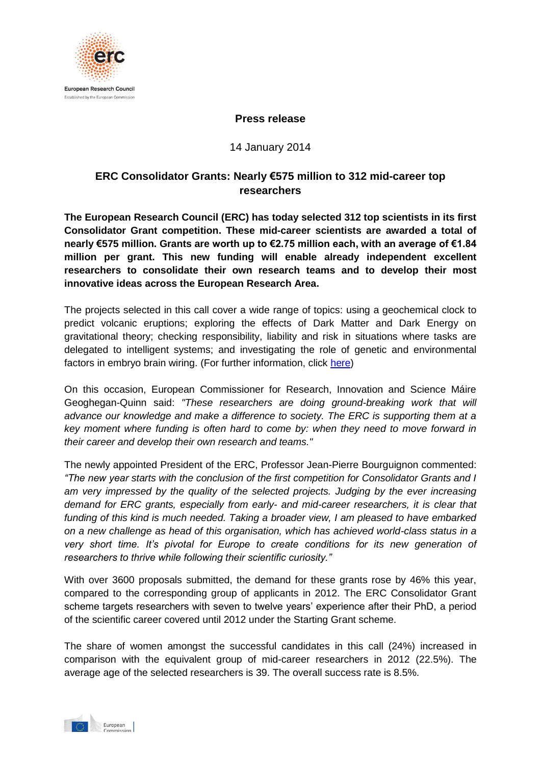

### **Press release**

14 January 2014

# **ERC Consolidator Grants: Nearly €575 million to 312 mid-career top researchers**

**The European Research Council (ERC) has today selected 312 top scientists in its first Consolidator Grant competition. These mid-career scientists are awarded a total of nearly €575 million. Grants are worth up to €2.75 million each, with an average of €1.84 million per grant. This new funding will enable already independent excellent researchers to consolidate their own research teams and to develop their most innovative ideas across the European Research Area.** 

The projects selected in this call cover a wide range of topics: using a geochemical clock to predict volcanic eruptions; exploring the effects of Dark Matter and Dark Energy on gravitational theory; checking responsibility, liability and risk in situations where tasks are delegated to intelligent systems; and investigating the role of genetic and environmental factors in embryo brain wiring. (For further information, click [here\)](http://erc.europa.eu/sites/default/files/press_release/files/Examples_ERC_cog_projects_2013.pdf)

On this occasion, European Commissioner for Research, Innovation and Science Máire Geoghegan-Quinn said: *"These researchers are doing ground-breaking work that will*  advance our knowledge and make a difference to society. The ERC is supporting them at a *key moment where funding is often hard to come by: when they need to move forward in their career and develop their own research and teams."* 

The newly appointed President of the ERC, Professor Jean-Pierre Bourguignon commented: *"The new year starts with the conclusion of the first competition for Consolidator Grants and I am very impressed by the quality of the selected projects. Judging by the ever increasing demand for ERC grants, especially from early- and mid-career researchers, it is clear that funding of this kind is much needed. Taking a broader view, I am pleased to have embarked on a new challenge as head of this organisation, which has achieved world-class status in a very short time. It's pivotal for Europe to create conditions for its new generation of researchers to thrive while following their scientific curiosity."*

With over 3600 proposals submitted, the demand for these grants rose by 46% this year, compared to the corresponding group of applicants in 2012. The ERC Consolidator Grant scheme targets researchers with seven to twelve years' experience after their PhD, a period of the scientific career covered until 2012 under the Starting Grant scheme.

The share of women amongst the successful candidates in this call (24%) increased in comparison with the equivalent group of mid-career researchers in 2012 (22.5%). The average age of the selected researchers is 39. The overall success rate is 8.5%.

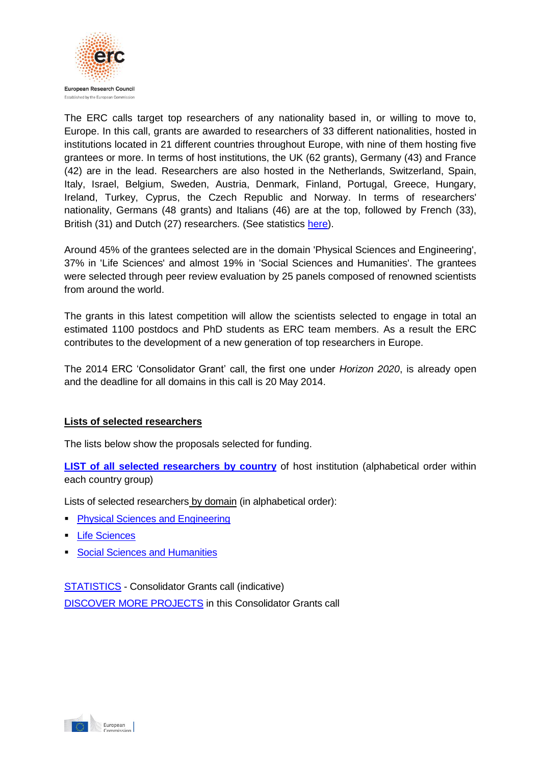

The ERC calls target top researchers of any nationality based in, or willing to move to, Europe. In this call, grants are awarded to researchers of 33 different nationalities, hosted in institutions located in 21 different countries throughout Europe, with nine of them hosting five grantees or more. In terms of host institutions, the UK (62 grants), Germany (43) and France (42) are in the lead. Researchers are also hosted in the Netherlands, Switzerland, Spain, Italy, Israel, Belgium, Sweden, Austria, Denmark, Finland, Portugal, Greece, Hungary, Ireland, Turkey, Cyprus, the Czech Republic and Norway. In terms of researchers' nationality, Germans (48 grants) and Italians (46) are at the top, followed by French (33), British (31) and Dutch (27) researchers. (See statistics [here\)](http://erc.europa.eu/sites/default/files/document/file/erc_2013_cog_statistics.pdf).

Around 45% of the grantees selected are in the domain 'Physical Sciences and Engineering', 37% in 'Life Sciences' and almost 19% in 'Social Sciences and Humanities'. The grantees were selected through peer review evaluation by 25 panels composed of renowned scientists from around the world.

The grants in this latest competition will allow the scientists selected to engage in total an estimated 1100 postdocs and PhD students as ERC team members. As a result the ERC contributes to the development of a new generation of top researchers in Europe.

The 2014 ERC 'Consolidator Grant' call, the first one under *Horizon 2020*, is already open and the deadline for all domains in this call is 20 May 2014.

## **Lists of selected researchers**

The lists below show the proposals selected for funding.

**[LIST of all selected researchers](http://erc.europa.eu/sites/default/files/document/file/erc_2013_cog_full_results_by_domain.pdf) by country** of host institution (alphabetical order within each country group)

Lists of selected researchers by domain (in alphabetical order):

- **[Physical Sciences and Engineering](http://erc.europa.eu/sites/default/files/document/file/erc_2013_cog_results_pe.pdf)**
- **[Life Sciences](http://erc.europa.eu/sites/default/files/document/file/erc_2013_cog_results_ls.pdf)**
- **[Social Sciences and Humanities](http://erc.europa.eu/sites/default/files/document/file/erc_2013_cog_results_sh.pdf)**

[STATISTICS](http://erc.europa.eu/sites/default/files/document/file/erc_2013_cog_statistics.pdf) - Consolidator Grants call (indicative) [DISCOVER MORE PROJECTS](http://erc.europa.eu/sites/default/files/press_release/files/Examples_ERC_cog_projects_2013.pdf) in this Consolidator Grants call

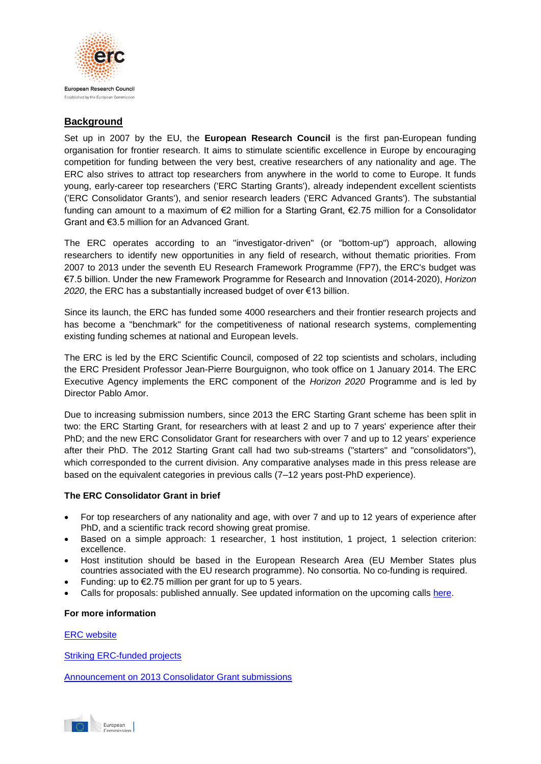

## **Background**

Set up in 2007 by the EU, the **European Research Council** is the first pan-European funding organisation for frontier research. It aims to stimulate scientific excellence in Europe by encouraging competition for funding between the very best, creative researchers of any nationality and age. The ERC also strives to attract top researchers from anywhere in the world to come to Europe. It funds young, early-career top researchers ('ERC Starting Grants'), already independent excellent scientists ('ERC Consolidator Grants'), and senior research leaders ('ERC Advanced Grants'). The substantial funding can amount to a maximum of €2 million for a Starting Grant, €2.75 million for a Consolidator Grant and €3.5 million for an Advanced Grant.

The ERC operates according to an "investigator-driven" (or "bottom-up") approach, allowing researchers to identify new opportunities in any field of research, without thematic priorities. From 2007 to 2013 under the seventh EU Research Framework Programme (FP7), the ERC's budget was €7.5 billion. Under the new Framework Programme for Research and Innovation (2014-2020), *Horizon*  2020, the ERC has a substantially increased budget of over €13 billion.

Since its launch, the ERC has funded some 4000 researchers and their frontier research projects and has become a "benchmark" for the competitiveness of national research systems, complementing existing funding schemes at national and European levels.

The ERC is led by the ERC Scientific Council, composed of 22 top scientists and scholars, including the ERC President Professor Jean-Pierre Bourguignon, who took office on 1 January 2014. The ERC Executive Agency implements the ERC component of the *Horizon 2020* Programme and is led by Director Pablo Amor.

Due to increasing submission numbers, since 2013 the ERC Starting Grant scheme has been split in two: the ERC Starting Grant, for researchers with at least 2 and up to 7 years' experience after their PhD; and the new ERC Consolidator Grant for researchers with over 7 and up to 12 years' experience after their PhD. The 2012 Starting Grant call had two sub-streams ("starters" and "consolidators"), which corresponded to the current division. Any comparative analyses made in this press release are based on the equivalent categories in previous calls (7–12 years post-PhD experience).

#### **The ERC Consolidator Grant in brief**

- For top researchers of any nationality and age, with over 7 and up to 12 years of experience after PhD, and a scientific track record showing great promise.
- Based on a simple approach: 1 researcher, 1 host institution, 1 project, 1 selection criterion: excellence.
- Host institution should be based in the European Research Area (EU Member States plus countries associated with the EU research programme). No consortia. No co-funding is required.
- Funding: up to  $\epsilon$ 2.75 million per grant for up to 5 years.
- Calls for proposals: published annually. See updated information on the upcoming calls [here.](http://erc.europa.eu/call-proposals)

#### **For more information**

[ERC website](http://erc.europa.eu/)

[Striking ERC-funded projects](http://erc.europa.eu/success-stories)

[Announcement on 2013 Consolidator Grant submissions](http://erc.europa.eu/sites/default/files/press_release/files/ERC_Update_CoG_submissions.pdf)